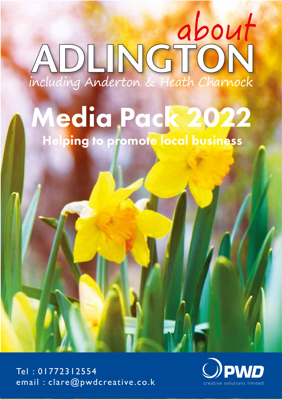## about ADLINGTON including Anderton & Heath Charnock

## Helping to promote local business Media Pack 2022

Tel : 01772312554 email : clare@pwdcreative.co.k creative solutions limited

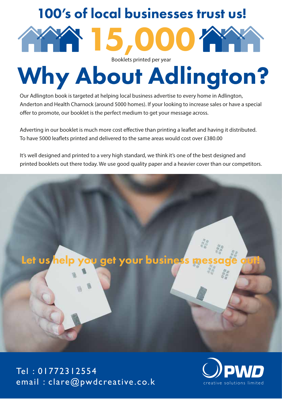## 100's of local businesses trust us!



Why About Adlington?

Our Adlington book is targeted at helping local business advertise to every home in Adlington, Anderton and Health Charnock (around 5000 homes). If your looking to increase sales or have a special offer to promote, our booklet is the perfect medium to get your message across.

Adverting in our booklet is much more cost effective than printing a leaflet and having it distributed. To have 5000 leaflets printed and delivered to the same areas would cost over £380.00

It's well designed and printed to a very high standard, we think it's one of the best designed and printed booklets out there today. We use good quality paper and a heavier cover than our competitors.



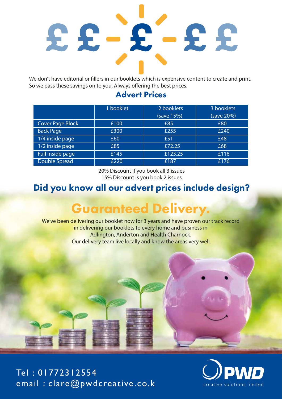

We don't have editorial or fillers in our booklets which is expensive content to create and print. So we pass these savings on to you. Always offering the best prices.

#### Advert Prices

|                         | 1 booklet | 2 booklets | 3 booklets |
|-------------------------|-----------|------------|------------|
|                         |           | (save 15%) | (save 20%) |
| <b>Cover Page Block</b> | £100      | £85        | £80        |
| <b>Back Page</b>        | £300      | £255       | £240       |
| 1/4 inside page         | £60       | £51        | £48        |
| 1/2 inside page         | £85       | £72.25     | £68        |
| Full inside page        | £145      | £123.25    | £116       |
| <b>Double Spread</b>    | £220      | £187       | £176       |

20% Discount if you book all 3 issues 15% Discount is you book 2 issues

#### Did you know all our advert prices include design?

### Guaranteed Delivery.

We've been delivering our booklet now for 3 years and have proven our track record in delivering our booklets to every home and business in Adlington, Anderton and Health Charnock. Our delivery team live locally and know the areas very well.

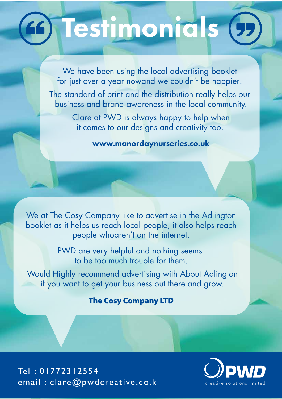## **Go Testimonials (5)**

We have been using the local advertising booklet for just over a year nowand we couldn't be happier!

The standard of print and the distribution really helps our business and brand awareness in the local community.

> Clare at PWD is always happy to help when it comes to our designs and creativity too.

> > www.manordaynurseries.co.uk

We at The Cosy Company like to advertise in the Adlington booklet as it helps us reach local people, it also helps reach people whoaren't on the internet.

> PWD are very helpful and nothing seems to be too much trouble for them.

Would Highly recommend advertising with About Adlington if you want to get your business out there and grow.

#### The Cosy Company LTD

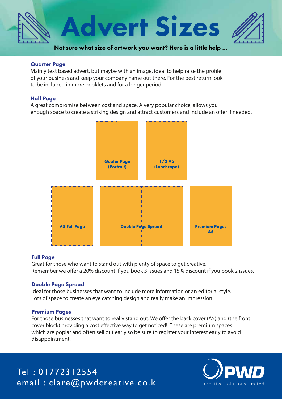

#### Quarter Page

Mainly text based advert, but maybe with an image, ideal to help raise the profile of your business and keep your company name out there. For the best return look to be included in more booklets and for a longer period.

#### Half Page

A great compromise between cost and space. A very popular choice, allows you enough space to create a striking design and attract customers and include an offer if needed.



#### Full Page

Great for those who want to stand out with plenty of space to get creative. Remember we offer a 20% discount if you book 3 issues and 15% discount if you book 2 issues.

#### Double Page Spread

Ideal for those businesses that want to include more information or an editorial style. Lots of space to create an eye catching design and really make an impression.

#### Premium Pages

For those businesses that want to really stand out. We offer the back cover (A5) and (the front cover block) providing a cost effective way to get noticed! These are premium spaces which are poplar and often sell out early so be sure to register your interest early to avoid disappointment.